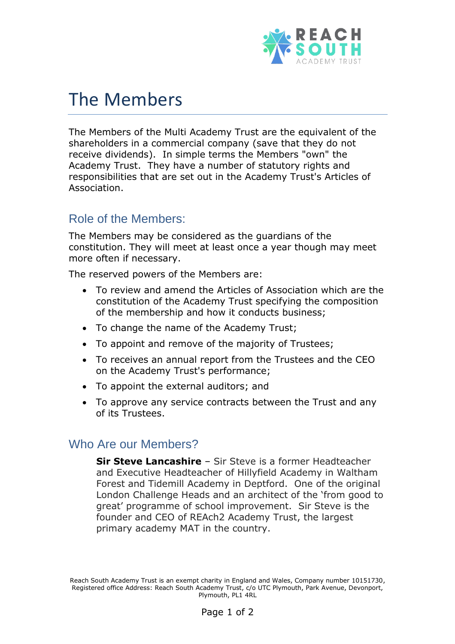

## The Members

The Members of the Multi Academy Trust are the equivalent of the shareholders in a commercial company (save that they do not receive dividends). In simple terms the Members "own" the Academy Trust. They have a number of statutory rights and responsibilities that are set out in the Academy Trust's Articles of Association.

## Role of the Members:

The Members may be considered as the guardians of the constitution. They will meet at least once a year though may meet more often if necessary.

The reserved powers of the Members are:

- To review and amend the Articles of Association which are the constitution of the Academy Trust specifying the composition of the membership and how it conducts business;
- To change the name of the Academy Trust;
- To appoint and remove of the majority of Trustees;
- To receives an annual report from the Trustees and the CEO on the Academy Trust's performance;
- To appoint the external auditors; and
- To approve any service contracts between the Trust and any of its Trustees.

## Who Are our Members?

**Sir Steve Lancashire** – Sir Steve is a former Headteacher and Executive Headteacher of Hillyfield Academy in Waltham Forest and Tidemill Academy in Deptford. One of the original London Challenge Heads and an architect of the 'from good to great' programme of school improvement. Sir Steve is the founder and CEO of REAch2 Academy Trust, the largest primary academy MAT in the country.

Reach South Academy Trust is an exempt charity in England and Wales, Company number 10151730, Registered office Address: Reach South Academy Trust, c/o UTC Plymouth, Park Avenue, Devonport, Plymouth, PL1 4RL